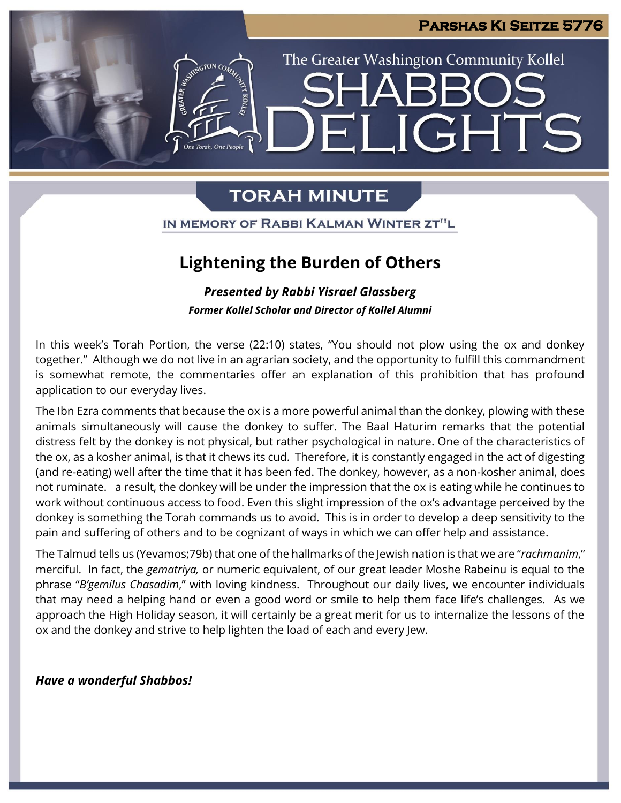**JGHTS** 

The Greater Washington Community Kollel

# **TORAH MINUTE**

IN MEMORY OF RABBI KALMAN WINTER ZT"L

## **Lightening the Burden of Others**

*Presented by Rabbi Yisrael Glassberg Former Kollel Scholar and Director of Kollel Alumni*

In this week's Torah Portion, the verse (22:10) states, "You should not plow using the ox and donkey together." Although we do not live in an agrarian society, and the opportunity to fulfill this commandment is somewhat remote, the commentaries offer an explanation of this prohibition that has profound application to our everyday lives.

The Ibn Ezra comments that because the ox is a more powerful animal than the donkey, plowing with these animals simultaneously will cause the donkey to suffer. The Baal Haturim remarks that the potential distress felt by the donkey is not physical, but rather psychological in nature. One of the characteristics of the ox, as a kosher animal, is that it chews its cud. Therefore, it is constantly engaged in the act of digesting (and re-eating) well after the time that it has been fed. The donkey, however, as a non-kosher animal, does not ruminate. a result, the donkey will be under the impression that the ox is eating while he continues to work without continuous access to food. Even this slight impression of the ox's advantage perceived by the donkey is something the Torah commands us to avoid. This is in order to develop a deep sensitivity to the pain and suffering of others and to be cognizant of ways in which we can offer help and assistance.

The Talmud tells us (Yevamos;79b) that one of the hallmarks of the Jewish nation is that we are "*rachmanim*," merciful. In fact, the *gematriya,* or numeric equivalent, of our great leader Moshe Rabeinu is equal to the phrase "*B'gemilus Chasadim*," with loving kindness. Throughout our daily lives, we encounter individuals that may need a helping hand or even a good word or smile to help them face life's challenges. As we approach the High Holiday season, it will certainly be a great merit for us to internalize the lessons of the ox and the donkey and strive to help lighten the load of each and every Jew.

*Have a wonderful Shabbos!*